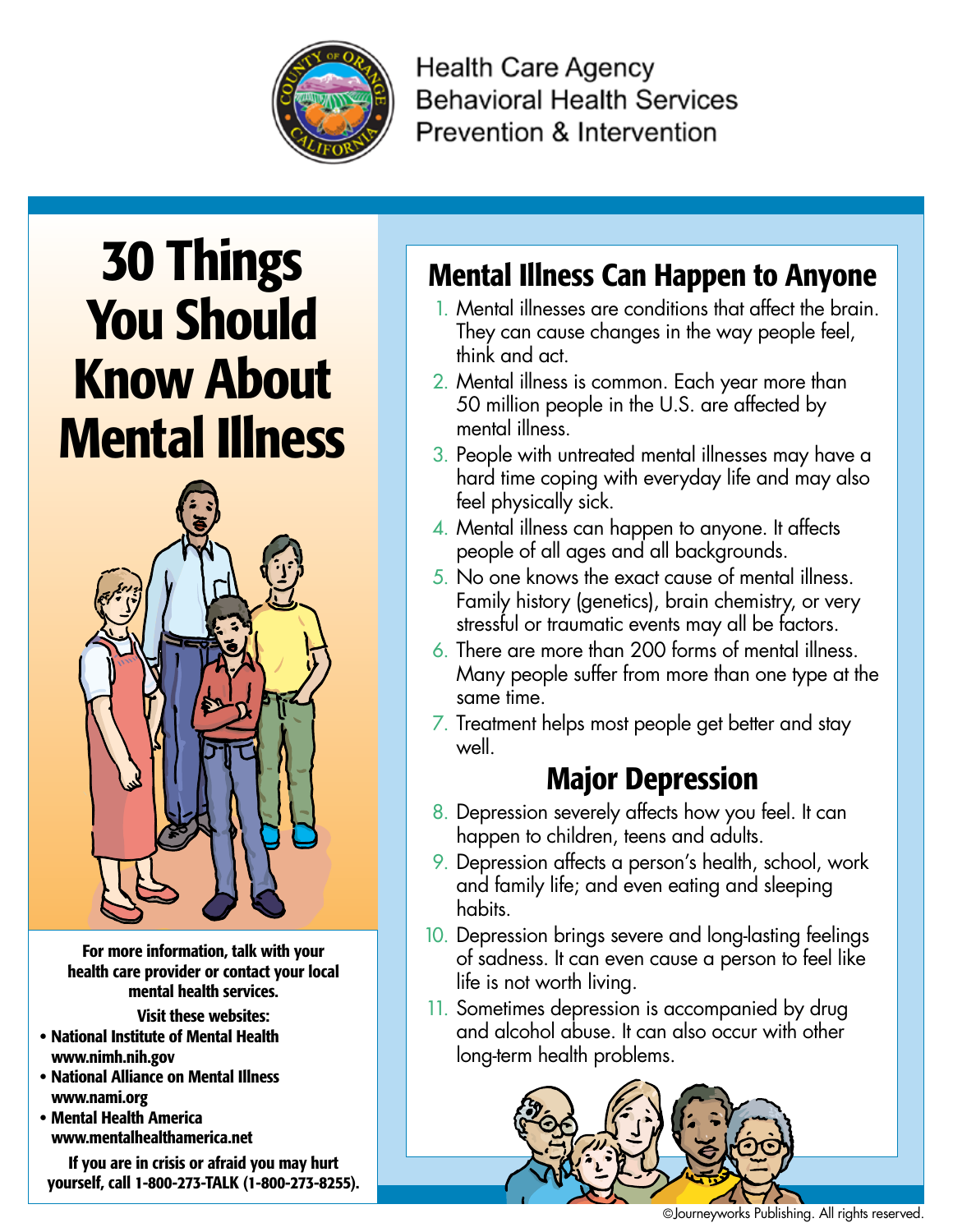

**Health Care Agency Behavioral Health Services** Prevention & Intervention

# 30 Things You Should Know About Mental Illness



For more information, talk with your health care provider or contact your local mental health services.

Visit these websites:

- • National Institute of Mental Health www.nimh.nih.gov
- • National Alliance on Mental Illness www.nami.org
- • Mental Health America www.mentalhealthamerica.net

If you are in crisis or afraid you may hurt yourself, call 1-800-273-Talk (1-800-273-8255).

## Mental Illness Can Happen to Anyone

- 1. Mental illnesses are conditions that affect the brain. They can cause changes in the way people feel, think and act.
- 2. Mental illness is common. Each year more than 50 million people in the U.S. are affected by mental illness.
- 3. People with untreated mental illnesses may have a hard time coping with everyday life and may also feel physically sick.
- 4. Mental illness can happen to anyone. It affects people of all ages and all backgrounds.
- 5. No one knows the exact cause of mental illness. Family history (genetics), brain chemistry, or very stressful or traumatic events may all be factors.
- 6. There are more than 200 forms of mental illness. Many people suffer from more than one type at the same time.
- 7. Treatment helps most people get better and stay well.

### Major Depression

- 8. Depression severely affects how you feel. It can happen to children, teens and adults.
- 9. Depression affects a person's health, school, work and family life; and even eating and sleeping habits.
- 10. Depression brings severe and long-lasting feelings of sadness. It can even cause a person to feel like life is not worth living.
- 11. Sometimes depression is accompanied by drug and alcohol abuse. It can also occur with other long-term health problems.